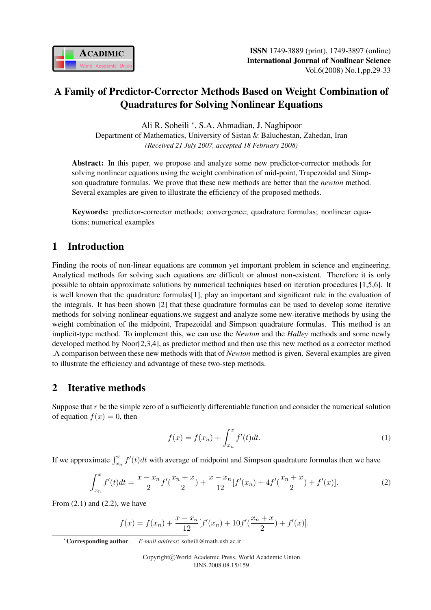

# A Family of Predictor-Corrector Methods Based on Weight Combination of Quadratures for Solving Nonlinear Equations

Ali R. Soheili <sup>∗</sup> , S.A. Ahmadian, J. Naghipoor Department of Mathematics, University of Sistan & Baluchestan, Zahedan, Iran *(Received 21 July 2007, accepted 18 February 2008)*

Abstract: In this paper, we propose and analyze some new predictor-corrector methods for solving nonlinear equations using the weight combination of mid-point, Trapezoidal and Simpson quadrature formulas. We prove that these new methods are better than the *newton* method. Several examples are given to illustrate the efficiency of the proposed methods.

Keywords: predictor-corrector methods; convergence; quadrature formulas; nonlinear equations; numerical examples

# 1 Introduction

Finding the roots of non-linear equations are common yet important problem in science and engineering. Analytical methods for solving such equations are difficult or almost non-existent. Therefore it is only possible to obtain approximate solutions by numerical techniques based on iteration procedures [1,5,6]. It is well known that the quadrature formulas[1], play an important and significant rule in the evaluation of the integrals. It has been shown [2] that these quadrature formulas can be used to develop some iterative methods for solving nonlinear equations.we suggest and analyze some new-iterative methods by using the weight combination of the midpoint, Trapezoidal and Simpson quadrature formulas. This method is an implicit-type method. To implement this, we can use the *Newton* and the *Halley* methods and some newly developed method by Noor[2,3,4], as predictor method and then use this new method as a corrector method .A comparison between these new methods with that of *Newton* method is given. Several examples are given to illustrate the efficiency and advantage of these two-step methods.

## 2 Iterative methods

Suppose that r be the simple zero of a sufficiently differentiable function and consider the numerical solution of equation  $f(x) = 0$ , then

$$
f(x) = f(x_n) + \int_{x_n}^{x} f'(t)dt.
$$
 (1)

If we approximate  $\int_{x_n}^x f'(t)dt$  with average of midpoint and Simpson quadrature formulas then we have

$$
\int_{x_n}^x f'(t)dt = \frac{x - x_n}{2} f'\left(\frac{x_n + x}{2}\right) + \frac{x - x_n}{12} [f'(x_n) + 4f'\left(\frac{x_n + x}{2}\right) + f'(x)].\tag{2}
$$

From  $(2.1)$  and  $(2.2)$ , we have

$$
f(x) = f(x_n) + \frac{x - x_n}{12} [f'(x_n) + 10f'(\frac{x_n + x}{2}) + f'(x)].
$$

<sup>∗</sup>Corresponding author. *E-mail address*: soheili@math.usb.ac.ir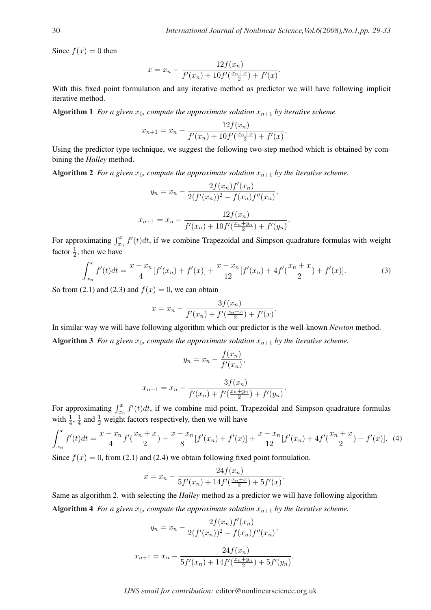Since  $f(x) = 0$  then

$$
x = x_n - \frac{12f(x_n)}{f'(x_n) + 10f'(\frac{x_n + x}{2}) + f'(x)}.
$$

With this fixed point formulation and any iterative method as predictor we will have following implicit iterative method.

Algorithm 1 *For a given*  $x_0$ *, compute the approximate solution*  $x_{n+1}$  *by iterative scheme.* 

$$
x_{n+1} = x_n - \frac{12f(x_n)}{f'(x_n) + 10f'(\frac{x_n+x}{2}) + f'(x)}.
$$

Using the predictor type technique, we suggest the following two-step method which is obtained by combining the *Halley* method.

Algorithm 2 *For a given*  $x_0$ *, compute the approximate solution*  $x_{n+1}$  *by the iterative scheme.* 

$$
y_n = x_n - \frac{2f(x_n)f'(x_n)}{2(f'(x_n))^2 - f(x_n)f''(x_n)},
$$
  

$$
x_{n+1} = x_n - \frac{12f(x_n)}{f'(x_n) + 10f'(\frac{x_n + y_n}{2}) + f'(y_n)}.
$$

For approximating  $\int_{x_n}^x f'(t)dt$ , if we combine Trapezoidal and Simpson quadrature formulas with weight factor  $\frac{1}{2}$ , then we have

$$
\int_{x_n}^x f'(t)dt = \frac{x - x_n}{4} [f'(x_n) + f'(x)] + \frac{x - x_n}{12} [f'(x_n) + 4f'(\frac{x_n + x}{2}) + f'(x)].
$$
\n(3)

 $\sim$   $\alpha$ / $\sim$ 

So from (2.1) and (2.3) and  $f(x) = 0$ , we can obtain

$$
x = x_n - \frac{3f(x_n)}{f'(x_n) + f'(\frac{x_n + x}{2}) + f'(x)}.
$$

In similar way we will have following algorithm which our predictor is the well-known *Newton* method.

Algorithm 3 *For a given*  $x_0$ *, compute the approximate solution*  $x_{n+1}$  *by the iterative scheme.* 

$$
y_n = x_n - \frac{f(x_n)}{f'(x_n)},
$$

$$
x_{n+1} = x_n - \frac{3f(x_n)}{f'(x_n) + f'(\frac{x_n + y_n}{2}) + f'(y_n)}.
$$

For approximating  $\int_{x_n}^x f'(t)dt$ , if we combine mid-point, Trapezoidal and Simpson quadrature formulas with  $\frac{1}{4}$ ,  $\frac{1}{4}$  $\frac{1}{4}$  and  $\frac{1}{2}$  weight factors respectively, then we will have

$$
\int_{x_n}^x f'(t)dt = \frac{x - x_n}{4}f'\left(\frac{x_n + x}{2}\right) + \frac{x - x_n}{8}[f'(x_n) + f'(x)] + \frac{x - x_n}{12}[f'(x_n) + 4f'\left(\frac{x_n + x}{2}\right) + f'(x)]. \tag{4}
$$

Since  $f(x) = 0$ , from (2.1) and (2.4) we obtain following fixed point formulation.

$$
x = x_n - \frac{24f(x_n)}{5f'(x_n) + 14f'(\frac{x_n + x}{2}) + 5f'(x)}.
$$

Same as algorithm 2. with selecting the *Halley* method as a predictor we will have following algorithm Algorithm 4 *For a given*  $x_0$ *, compute the approximate solution*  $x_{n+1}$  *by the iterative scheme.* 

$$
y_n = x_n - \frac{2f(x_n)f'(x_n)}{2(f'(x_n))^2 - f(x_n)f''(x_n)},
$$
  

$$
x_{n+1} = x_n - \frac{24f(x_n)}{5f'(x_n) + 14f'(\frac{x_n + y_n}{2}) + 5f'(y_n)}.
$$

*IJNS email for contribution:* editor@nonlinearscience.org.uk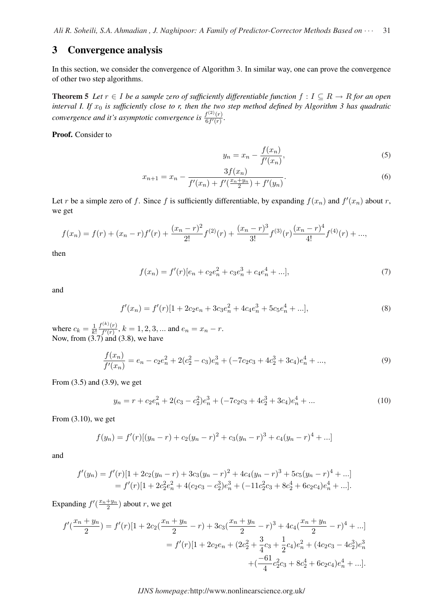#### 3 Convergence analysis

In this section, we consider the convergence of Algorithm 3. In similar way, one can prove the convergence of other two step algorithms.

**Theorem 5** *Let*  $r ∈ I$  *be a sample zero of sufficiently differentiable function*  $f : I ⊆ R → R$  *for an open interval I. If*  $x_0$  *is sufficiently close to r, then the two step method defined by Algorithm 3 has quadratic convergence and it's asymptotic convergence is*  $\frac{f^{(2)}(r)}{6f'(r)}$  $\frac{f^{(-)}(r)}{6f'(r)}$ .

Proof. Consider to

$$
y_n = x_n - \frac{f(x_n)}{f'(x_n)},\tag{5}
$$

$$
x_{n+1} = x_n - \frac{3f(x_n)}{f'(x_n) + f'(\frac{x_n + y_n}{2}) + f'(y_n)}.
$$
\n(6)

Let r be a simple zero of f. Since f is sufficiently differentiable, by expanding  $f(x_n)$  and  $f'(x_n)$  about r, we get

$$
f(x_n) = f(r) + (x_n - r)f'(r) + \frac{(x_n - r)^2}{2!}f^{(2)}(r) + \frac{(x_n - r)^3}{3!}f^{(3)}(r)\frac{(x_n - r)^4}{4!}f^{(4)}(r) + ...,
$$

then

$$
f(x_n) = f'(r)[e_n + c_2e_n^2 + c_3e_n^3 + c_4e_n^4 + \ldots],\tag{7}
$$

and

$$
f'(x_n) = f'(r)[1 + 2c_2e_n + 3c_3e_n^2 + 4c_4e_n^3 + 5c_5e_n^4 + \ldots],
$$
\n(8)

where  $c_k = \frac{1}{k}$  $\overline{k}$ !  $f^{(k)}(r)$  $\frac{\Gamma(n)(r)}{f'(r)}$ ,  $k = 1, 2, 3, ...$  and  $e_n = x_n - r$ . Now, from  $(3.7)$  and  $(3.8)$ , we have

$$
\frac{f(x_n)}{f'(x_n)} = e_n - c_2 e_n^2 + 2(c_2^2 - c_3)e_n^3 + (-7c_2c_3 + 4c_2^3 + 3c_4)e_n^4 + ...,
$$
\n(9)

From (3.5) and (3.9), we get

$$
y_n = r + c_2 e_n^2 + 2(c_3 - c_2^2)e_n^3 + (-7c_2c_3 + 4c_2^3 + 3c_4)e_n^4 + \dots
$$
 (10)

From (3.10), we get

$$
f(y_n) = f'(r)[(y_n - r) + c_2(y_n - r)^2 + c_3(y_n - r)^3 + c_4(y_n - r)^4 + ...]
$$

and

$$
f'(y_n) = f'(r)[1 + 2c_2(y_n - r) + 3c_3(y_n - r)^2 + 4c_4(y_n - r)^3 + 5c_5(y_n - r)^4 + ...]
$$
  
=  $f'(r)[1 + 2c_2^2e_n^2 + 4(c_2c_3 - c_2^3)e_n^3 + (-11c_2^2c_3 + 8c_2^4 + 6c_2c_4)e_n^4 + ...].$ 

Expanding  $f'(\frac{x_n+y_n}{2})$  $\frac{+y_n}{2}$ ) about r, we get

$$
f'(\frac{x_n + y_n}{2}) = f'(r)[1 + 2c_2(\frac{x_n + y_n}{2} - r) + 3c_3(\frac{x_n + y_n}{2} - r)^3 + 4c_4(\frac{x_n + y_n}{2} - r)^4 + \ldots]
$$
  
=  $f'(r)[1 + 2c_2e_n + (2c_2^2 + \frac{3}{4}c_3 + \frac{1}{2}c_4)e_n^2 + (4c_2c_3 - 4c_2^3)e_n^3 + (\frac{-61}{4}c_2^2c_3 + 8c_2^4 + 6c_2c_4)e_n^4 + \ldots].$ 

*IJNS homepage:*http://www.nonlinearscience.org.uk/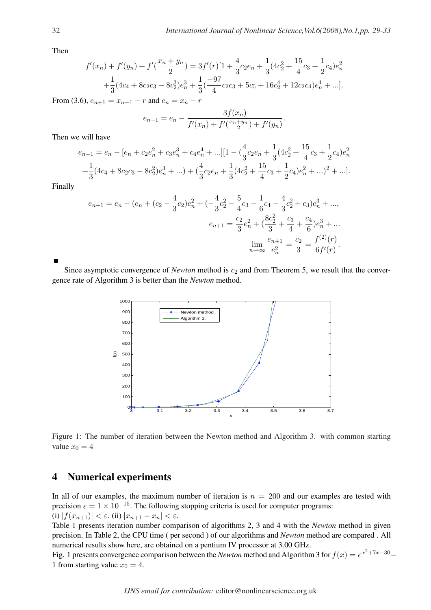.

Then

$$
f'(x_n) + f'(y_n) + f'\left(\frac{x_n + y_n}{2}\right) = 3f'(r)[1 + \frac{4}{3}c_2e_n + \frac{1}{3}(4c_2^2 + \frac{15}{4}c_3 + \frac{1}{2}c_4)e_n^2 + \frac{1}{3}(4c_4 + 8c_2c_3 - 8c_2^3)e_n^3 + \frac{1}{3}(\frac{-97}{4}c_2c_3 + 5c_5 + 16c_2^4 + 12c_2c_4)e_n^4 + \dots].
$$

From (3.6),  $e_{n+1} = x_{n+1} - r$  and  $e_n = x_n - r$ 

$$
e_{n+1} = e_n - \frac{3f(x_n)}{f'(x_n) + f'(\frac{x_n + y_n}{2}) + f'(y_n)}
$$

Then we will have

$$
e_{n+1} = e_n - [e_n + c_2 e_n^2 + c_3 e_n^3 + c_4 e_n^4 + \dots][1 - (\frac{4}{3}c_2 e_n + \frac{1}{3}(4c_2^2 + \frac{15}{4}c_3 + \frac{1}{2}c_4)e_n^2 + \frac{1}{3}(4c_4 + 8c_2c_3 - 8c_2^2)e_n^3 + \dots) + (\frac{4}{3}c_2 e_n + \frac{1}{3}(4c_2^2 + \frac{15}{4}c_3 + \frac{1}{2}c_4)e_n^2 + \dots)^2 + \dots].
$$

Finally

$$
e_{n+1} = e_n - (e_n + (c_2 - \frac{4}{3}c_2)e_n^2 + (-\frac{4}{3}c_2^2 - \frac{5}{4}c_3 - \frac{1}{6}c_4 - \frac{4}{3}c_2^2 + c_3)e_n^3 + \dots,
$$
  

$$
e_{n+1} = \frac{c_2}{3}e_n^2 + (\frac{8c_2^2}{3} + \frac{c_3}{4} + \frac{c_4}{6})e_n^3 + \dots
$$
  

$$
\lim_{n \to \infty} \frac{e_{n+1}}{e_n^2} = \frac{c_2}{3} = \frac{f^{(2)}(r)}{6f'(r)}.
$$

Since asymptotic convergence of *Newton* method is  $c_2$  and from Theorem 5, we result that the convergence rate of Algorithm 3 is better than the *Newton* method.



Figure 1: The number of iteration between the Newton method and Algorithm 3. with common starting value  $x_0 = 4$ 

### 4 Numerical experiments

In all of our examples, the maximum number of iteration is  $n = 200$  and our examples are tested with precision  $\varepsilon = 1 \times 10^{-15}$ . The following stopping criteria is used for computer programs: (i)  $|f(x_{n+1})| < \varepsilon$ . (ii)  $|x_{n+1} - x_n| < \varepsilon$ .

Table 1 presents iteration number comparison of algorithms 2, 3 and 4 with the *Newton* method in given precision. In Table 2, the CPU time ( per second ) of our algorithms and *Newton* method are compared . All numerical results show here, are obtained on a pentium IV processor at 3.00 GHz.

Fig. 1 presents convergence comparison between the *Newton* method and Algorithm 3 for  $f(x) = e^{x^2 + 7x - 30} -$ 1 from starting value  $x_0 = 4$ .